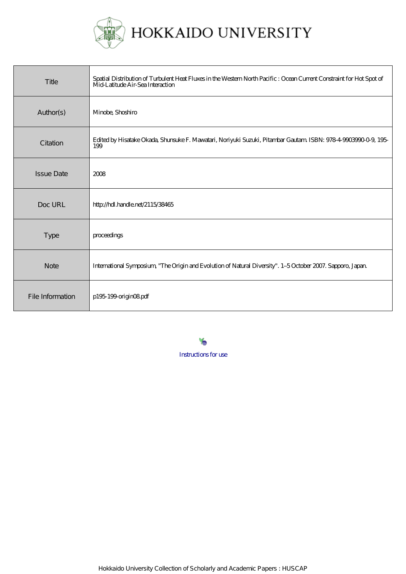

| Title             | Spatial Distribution of Turbulent Heat Fluxes in the Western North Pacific : Ocean Current Constraint for Hot Spot of<br>Mid-Latitude Air-Sea Interaction |
|-------------------|-----------------------------------------------------------------------------------------------------------------------------------------------------------|
| Author(s)         | Minobe, Shoshiro                                                                                                                                          |
| Citation          | Edited by Hisatake Okada, Shunsuke F. Mawatari, Noriyuki Suzuki, Pitambar Gautam ISBN: 978-4-9003990-0-9, 195-<br>199                                     |
| <b>Issue Date</b> | 2008                                                                                                                                                      |
| Doc URL           | http://hdl.handle.net/2115/38465                                                                                                                          |
| <b>Type</b>       | proceedings                                                                                                                                               |
| <b>Note</b>       | International Symposium, "The Origin and Evolution of Natural Diversity". 1-5 October 2007. Sapporo, Japan                                                |
| File Information  | p195-199-originO8pdf                                                                                                                                      |

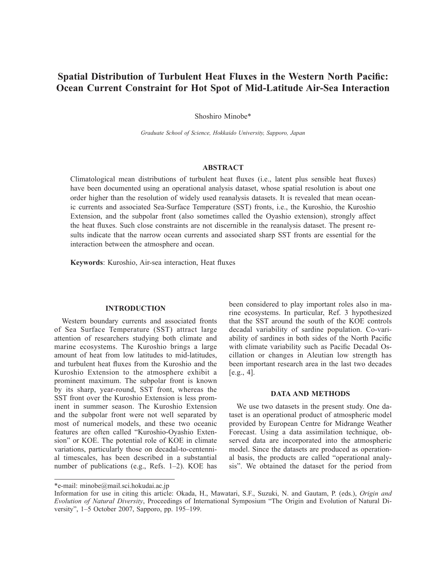# **Spatial Distribution of Turbulent Heat Fluxes in the Western North Pacific: Ocean Current Constraint for Hot Spot of Mid-Latitude Air-Sea Interaction**

Shoshiro Minobe\*

*Graduate School of Science, Hokkaido University, Sapporo, Japan*

## **ABSTRACT**

Climatological mean distributions of turbulent heat fluxes (i.e., latent plus sensible heat fluxes) have been documented using an operational analysis dataset, whose spatial resolution is about one order higher than the resolution of widely used reanalysis datasets. It is revealed that mean oceanic currents and associated Sea-Surface Temperature (SST) fronts, i.e., the Kuroshio, the Kuroshio Extension, and the subpolar front (also sometimes called the Oyashio extension), strongly affect the heat fluxes. Such close constraints are not discernible in the reanalysis dataset. The present results indicate that the narrow ocean currents and associated sharp SST fronts are essential for the interaction between the atmosphere and ocean.

**Keywords**: Kuroshio, Air-sea interaction, Heat fluxes

## **INTRODUCTION**

Western boundary currents and associated fronts of Sea Surface Temperature (SST) attract large attention of researchers studying both climate and marine ecosystems. The Kuroshio brings a large amount of heat from low latitudes to mid-latitudes, and turbulent heat fluxes from the Kuroshio and the Kuroshio Extension to the atmosphere exhibit a prominent maximum. The subpolar front is known by its sharp, year-round, SST front, whereas the SST front over the Kuroshio Extension is less prominent in summer season. The Kuroshio Extension and the subpolar front were not well separated by most of numerical models, and these two oceanic features are often called "Kuroshio-Oyashio Extension" or KOE. The potential role of KOE in climate variations, particularly those on decadal-to-centennial timescales, has been described in a substantial number of publications (e.g., Refs. 1–2). KOE has

been considered to play important roles also in marine ecosystems. In particular, Ref. 3 hypothesized that the SST around the south of the KOE controls decadal variability of sardine population. Co-variability of sardines in both sides of the North Pacific with climate variability such as Pacific Decadal Oscillation or changes in Aleutian low strength has been important research area in the last two decades  $[e.g., 4]$ .

## **DATA AND METHODS**

We use two datasets in the present study. One dataset is an operational product of atmospheric model provided by European Centre for Midrange Weather Forecast. Using a data assimilation technique, observed data are incorporated into the atmospheric model. Since the datasets are produced as operational basis, the products are called "operational analysis". We obtained the dataset for the period from

<sup>\*</sup>e-mail: minobe@mail.sci.hokudai.ac.jp

Information for use in citing this article: Okada, H., Mawatari, S.F., Suzuki, N. and Gautam, P. (eds.), *Origin and Evolution of Natural Diversity*, Proceedings of International Symposium "The Origin and Evolution of Natural Diversity", 1–5 October 2007, Sapporo, pp. 195–199.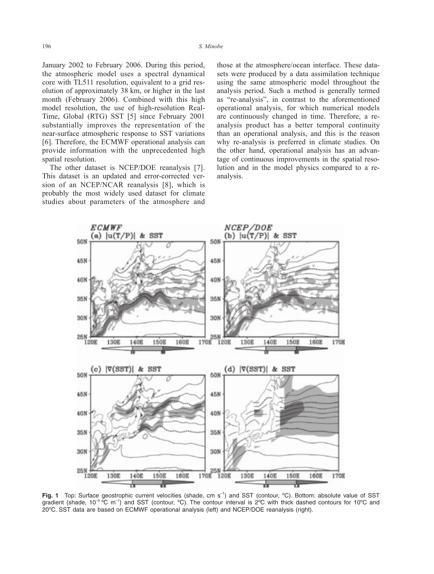January 2002 to February 2006. During this period, the atmospheric model uses a spectral dynamical core with TL511 resolution, equivalent to a grid resolution of approximately 38 km, or higher in the last month (February 2006). Combined with this high model resolution, the use of high-resolution Real-Time, Global (RTG) SST [5] since February 2001 substantially improves the representation of the near-surface atmospheric response to SST variations [6]. Therefore, the ECMWF operational analysis can provide information with the unprecedented high spatial resolution.

The other dataset is NCEP/DOE reanalysis [7]. This dataset is an updated and error-corrected version of an NCEP/NCAR reanalysis [8], which is probably the most widely used dataset for climate studies about parameters of the atmosphere and those at the atmosphere/ocean interface. These datasets were produced by a data assimilation technique using the same atmospheric model throughout the analysis period. Such a method is generally termed as "re-analysis", in contrast to the aforementioned operational analysis, for which numerical models are continuously changed in time. Therefore, a reanalysis product has a better temporal continuity than an operational analysis, and this is the reason why re-analysis is preferred in climate studies. On the other hand, operational analysis has an advantage of continuous improvements in the spatial resolution and in the model physics compared to a reanalysis.



**Fig. 1** Top: Surface geostrophic current velocities (shade, cm s<sup>-1</sup>) and SST (contour, °C). Bottom: absolute value of SST gradient (shade,  $10^{-5}$  °C m<sup>-1</sup>) and SST (contour, °C). The contour interval is  $2^{\circ}$ C with thick dashed contours for 10°C and 20ºC. SST data are based on ECMWF operational analysis (left) and NCEP/DOE reanalysis (right).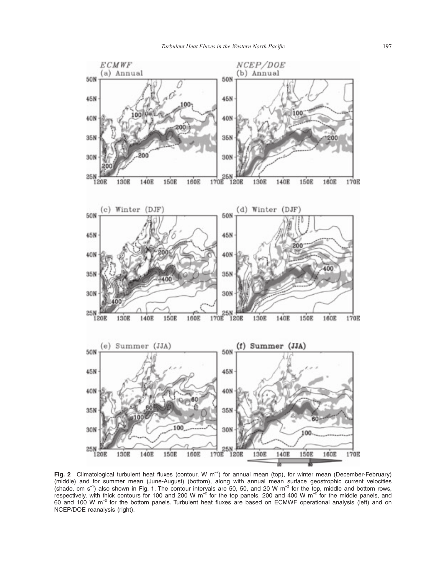

**Fig. 2** Climatological turbulent heat fluxes (contour, W  $m^{-2}$ ) for annual mean (top), for winter mean (December-February) (middle) and for summer mean (June-August) (bottom), along with annual mean surface geostrophic current velocities (shade, cm s<sup>-1</sup>) also shown in Fig. 1. The contour intervals are 50, 50, and 20 W m<sup>-2</sup> for the top, middle and bottom rows, respectively, with thick contours for 100 and 200 W m<sup>-2</sup> for the top panels, 200 and 400 W m<sup>-2</sup> for the middle panels, and 60 and 100 W m–2 for the bottom panels. Turbulent heat fluxes are based on ECMWF operational analysis (left) and on NCEP/DOE reanalysis (right).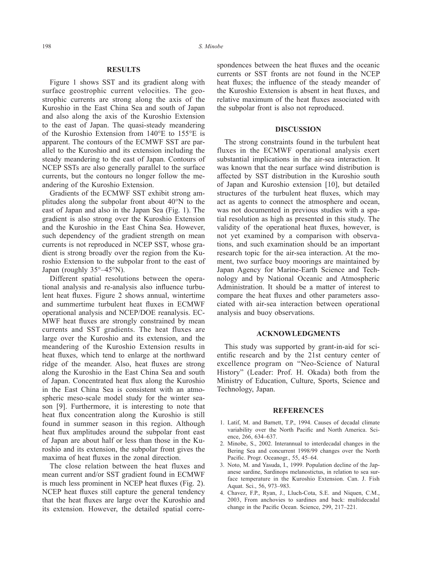## **RESULTS**

Figure 1 shows SST and its gradient along with surface geostrophic current velocities. The geostrophic currents are strong along the axis of the Kuroshio in the East China Sea and south of Japan and also along the axis of the Kuroshio Extension to the east of Japan. The quasi-steady meandering of the Kuroshio Extension from 140°E to 155°E is apparent. The contours of the ECMWF SST are parallel to the Kuroshio and its extension including the steady meandering to the east of Japan. Contours of NCEP SSTs are also generally parallel to the surface currents, but the contours no longer follow the meandering of the Kuroshio Extension.

Gradients of the ECMWF SST exhibit strong amplitudes along the subpolar front about 40°N to the east of Japan and also in the Japan Sea (Fig. 1). The gradient is also strong over the Kuroshio Extension and the Kuroshio in the East China Sea. However, such dependency of the gradient strength on mean currents is not reproduced in NCEP SST, whose gradient is strong broadly over the region from the Kuroshio Extension to the subpolar front to the east of Japan (roughly 35°–45°N).

Different spatial resolutions between the operational analysis and re-analysis also influence turbulent heat fluxes. Figure 2 shows annual, wintertime and summertime turbulent heat fluxes in ECMWF operational analysis and NCEP/DOE reanalysis. EC-MWF heat fluxes are strongly constrained by mean currents and SST gradients. The heat fluxes are large over the Kuroshio and its extension, and the meandering of the Kuroshio Extension results in heat fluxes, which tend to enlarge at the northward ridge of the meander. Also, heat fluxes are strong along the Kuroshio in the East China Sea and south of Japan. Concentrated heat flux along the Kuroshio in the East China Sea is consistent with an atmospheric meso-scale model study for the winter season [9]. Furthermore, it is interesting to note that heat flux concentration along the Kuroshio is still found in summer season in this region. Although heat flux amplitudes around the subpolar front east of Japan are about half or less than those in the Kuroshio and its extension, the subpolar front gives the maxima of heat fluxes in the zonal direction.

The close relation between the heat fluxes and mean current and/or SST gradient found in ECMWF is much less prominent in NCEP heat fluxes (Fig. 2). NCEP heat fluxes still capture the general tendency that the heat fluxes are large over the Kuroshio and its extension. However, the detailed spatial correspondences between the heat fluxes and the oceanic currents or SST fronts are not found in the NCEP heat fluxes; the influence of the steady meander of the Kuroshio Extension is absent in heat fluxes, and relative maximum of the heat fluxes associated with the subpolar front is also not reproduced.

#### **DISCUSSION**

The strong constraints found in the turbulent heat fluxes in the ECMWF operational analysis exert substantial implications in the air-sea interaction. It was known that the near surface wind distribution is affected by SST distribution in the Kuroshio south of Japan and Kuroshio extension [10], but detailed structures of the turbulent heat fluxes, which may act as agents to connect the atmosphere and ocean, was not documented in previous studies with a spatial resolution as high as presented in this study. The validity of the operational heat fluxes, however, is not yet examined by a comparison with observations, and such examination should be an important research topic for the air-sea interaction. At the moment, two surface buoy moorings are maintained by Japan Agency for Marine-Earth Science and Technology and by National Oceanic and Atmospheric Administration. It should be a matter of interest to compare the heat fluxes and other parameters associated with air-sea interaction between operational analysis and buoy observations.

## **ACKNOWLEDGMENTS**

This study was supported by grant-in-aid for scientific research and by the 21st century center of excellence program on "Neo-Science of Natural History" (Leader: Prof. H. Okada) both from the Ministry of Education, Culture, Sports, Science and Technology, Japan.

#### **REFERENCES**

- 1. Latif, M. and Barnett, T.P., 1994. Causes of decadal climate variability over the North Pacific and North America. Science, 266, 634–637.
- 2. Minobe, S., 2002. Interannual to interdecadal changes in the Bering Sea and concurrent 1998/99 changes over the North Pacific. Progr. Oceanogr., 55, 45–64.
- 3. Noto, M. and Yasuda, I., 1999. Population decline of the Japanese sardine, Sardinops melanostictus, in relation to sea surface temperature in the Kuroshio Extension. Can. J. Fish Aquat. Sci., 56, 973–983.
- 4. Chavez, F.P., Ryan, J., Lluch-Cota, S.E. and Niquen, C.M., 2003, From anchovies to sardines and back: multidecadal change in the Pacific Ocean. Science, 299, 217–221.